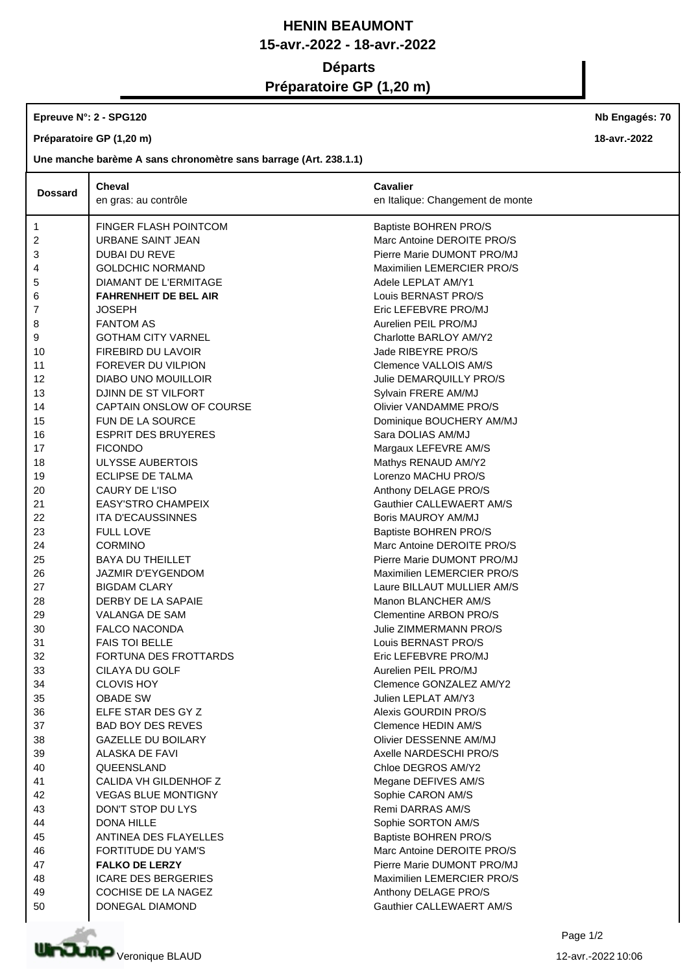## **HENIN BEAUMONT 15-avr.-2022 - 18-avr.-2022 Départs Préparatoire GP (1,20 m)**

## **Epreuve N°: 2 - SPG120**

**Préparatoire GP (1,20 m)**

**Une manche barème A sans chronomètre sans barrage (Art. 238.1.1)**

|                | <b>Cheval</b>                | <b>Cavalier</b>                  |
|----------------|------------------------------|----------------------------------|
| <b>Dossard</b> | en gras: au contrôle         | en Italique: Changement de monte |
| 1              | FINGER FLASH POINTCOM        | Baptiste BOHREN PRO/S            |
| 2              | URBANE SAINT JEAN            | Marc Antoine DEROITE PRO/S       |
| 3              | <b>DUBAI DU REVE</b>         | Pierre Marie DUMONT PRO/MJ       |
| 4              | <b>GOLDCHIC NORMAND</b>      | Maximilien LEMERCIER PRO/S       |
| 5              | DIAMANT DE L'ERMITAGE        | Adele LEPLAT AM/Y1               |
| 6              | <b>FAHRENHEIT DE BEL AIR</b> | Louis BERNAST PRO/S              |
| 7              | <b>JOSEPH</b>                | Eric LEFEBVRE PRO/MJ             |
| 8              | <b>FANTOM AS</b>             | Aurelien PEIL PRO/MJ             |
| 9              | <b>GOTHAM CITY VARNEL</b>    | Charlotte BARLOY AM/Y2           |
| 10             | FIREBIRD DU LAVOIR           | Jade RIBEYRE PRO/S               |
| 11             | FOREVER DU VILPION           | Clemence VALLOIS AM/S            |
| 12             | DIABO UNO MOUILLOIR          | Julie DEMARQUILLY PRO/S          |
| 13             | DJINN DE ST VILFORT          | Sylvain FRERE AM/MJ              |
| 14             | CAPTAIN ONSLOW OF COURSE     | Olivier VANDAMME PRO/S           |
| 15             | FUN DE LA SOURCE             | Dominique BOUCHERY AM/MJ         |
| 16             | <b>ESPRIT DES BRUYERES</b>   | Sara DOLIAS AM/MJ                |
| 17             | <b>FICONDO</b>               | Margaux LEFEVRE AM/S             |
| 18             | <b>ULYSSE AUBERTOIS</b>      | Mathys RENAUD AM/Y2              |
| 19             | <b>ECLIPSE DE TALMA</b>      | Lorenzo MACHU PRO/S              |
| 20             | CAURY DE L'ISO               | Anthony DELAGE PRO/S             |
| 21             | <b>EASY'STRO CHAMPEIX</b>    | Gauthier CALLEWAERT AM/S         |
| 22             | <b>ITA D'ECAUSSINNES</b>     | Boris MAUROY AM/MJ               |
| 23             | <b>FULL LOVE</b>             | Baptiste BOHREN PRO/S            |
| 24             | <b>CORMINO</b>               | Marc Antoine DEROITE PRO/S       |
| 25             | <b>BAYA DU THEILLET</b>      | Pierre Marie DUMONT PRO/MJ       |
| 26             | <b>JAZMIR D'EYGENDOM</b>     | Maximilien LEMERCIER PRO/S       |
| 27             | <b>BIGDAM CLARY</b>          | Laure BILLAUT MULLIER AM/S       |
| 28             | DERBY DE LA SAPAIE           | Manon BLANCHER AM/S              |
| 29             | VALANGA DE SAM               | Clementine ARBON PRO/S           |
| 30             | <b>FALCO NACONDA</b>         | Julie ZIMMERMANN PRO/S           |
| 31             | <b>FAIS TOI BELLE</b>        | Louis BERNAST PRO/S              |
| 32             | FORTUNA DES FROTTARDS        | Eric LEFEBVRE PRO/MJ             |
| 33             | CILAYA DU GOLF               | Aurelien PEIL PRO/MJ             |
| 34             | <b>CLOVIS HOY</b>            | Clemence GONZALEZ AM/Y2          |
| 35             | <b>OBADE SW</b>              | Julien LEPLAT AM/Y3              |
| 36             | ELFE STAR DES GY Z           | Alexis GOURDIN PRO/S             |
| 37             | <b>BAD BOY DES REVES</b>     | Clemence HEDIN AM/S              |
| 38             | <b>GAZELLE DU BOILARY</b>    | Olivier DESSENNE AM/MJ           |
| 39             | ALASKA DE FAVI               | Axelle NARDESCHI PRO/S           |
| 40             | QUEENSLAND                   | Chloe DEGROS AM/Y2               |
| 41             | CALIDA VH GILDENHOF Z        | Megane DEFIVES AM/S              |
| 42             | <b>VEGAS BLUE MONTIGNY</b>   | Sophie CARON AM/S                |
| 43             | DON'T STOP DU LYS            | Remi DARRAS AM/S                 |
| 44             | <b>DONA HILLE</b>            | Sophie SORTON AM/S               |
| 45             | ANTINEA DES FLAYELLES        | Baptiste BOHREN PRO/S            |
| 46             | FORTITUDE DU YAM'S           | Marc Antoine DEROITE PRO/S       |
| 47             | <b>FALKO DE LERZY</b>        | Pierre Marie DUMONT PRO/MJ       |
| 48             | <b>ICARE DES BERGERIES</b>   | Maximilien LEMERCIER PRO/S       |
| 49             | COCHISE DE LA NAGEZ          | Anthony DELAGE PRO/S             |
| 50             | DONEGAL DIAMOND              | Gauthier CALLEWAERT AM/S         |



**Nb Engagés: 70**

**18-avr.-2022**